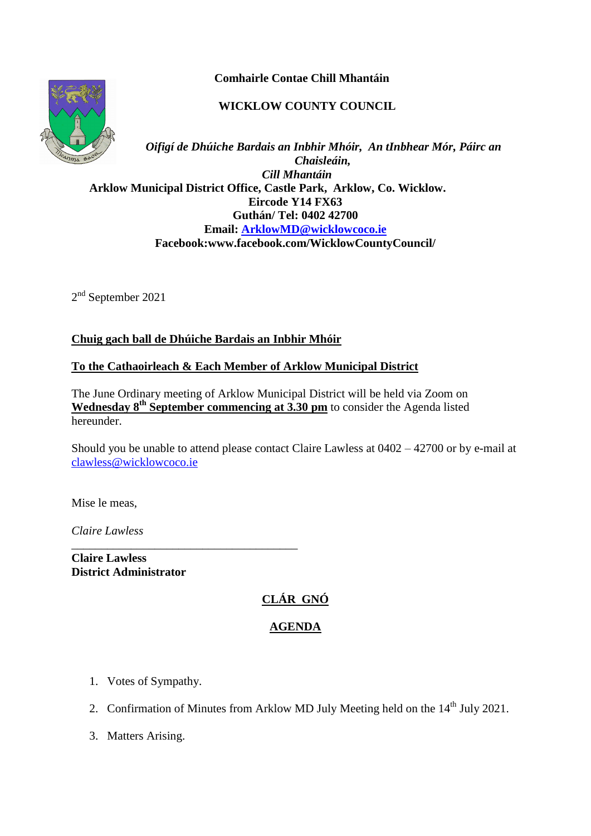**Comhairle Contae Chill Mhantáin**

# **WICKLOW COUNTY COUNCIL**



*Oifigí de Dhúiche Bardais an Inbhir Mhóir, An tInbhear Mór, Páirc an Chaisleáin, Cill Mhantáin*  **Arklow Municipal District Office, Castle Park, Arklow, Co. Wicklow. Eircode Y14 FX63 Guthán/ Tel: 0402 42700 Email: [ArklowMD@wicklowcoco.ie](mailto:ArklowMD@wicklowcoco.ie)  Facebook:www.facebook.com/WicklowCountyCouncil/**

2<sup>nd</sup> September 2021

## **Chuig gach ball de Dhúiche Bardais an Inbhir Mhóir**

#### **To the Cathaoirleach & Each Member of Arklow Municipal District**

The June Ordinary meeting of Arklow Municipal District will be held via Zoom on **Wednesday 8<sup>th</sup> September commencing at 3.30 pm** to consider the Agenda listed hereunder.

Should you be unable to attend please contact Claire Lawless at 0402 – 42700 or by e-mail at [clawless@wicklowcoco.ie](mailto:clawless@wicklowcoco.ie)

Mise le meas,

*Claire Lawless*

**Claire Lawless District Administrator** 

\_\_\_\_\_\_\_\_\_\_\_\_\_\_\_\_\_\_\_\_\_\_\_\_\_\_\_\_\_\_\_\_\_\_\_\_\_\_

# **CLÁR GNÓ**

## **AGENDA**

- 1. Votes of Sympathy.
- 2. Confirmation of Minutes from Arklow MD July Meeting held on the  $14<sup>th</sup>$  July 2021.
- 3. Matters Arising.